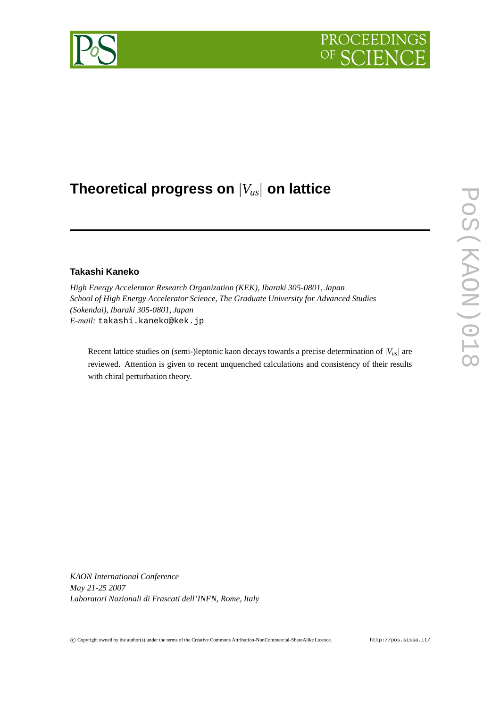# PROCEEDIN

## **Theoretical progress on** |*V us*| **on lattice**

### **Takashi Kaneko**

*High Energy Accelerator Research Organization (KEK), Ibaraki 305-0801, Japan School of High Energy Accelerator Science, The Graduate University for Advanced Studies (Sokendai), Ibaraki 305-0801, Japan E-mail:* takashi.kaneko@kek.jp

Recent lattice studies on (semi-)leptonic kaon decays towards a precise determination of |*Vus*| are reviewed. Attention is given to recent unquenched calculations and consistency of their results with chiral perturbation theory.

*KAON International Conference May 21-25 2007 Laboratori Nazionali di Frascati dell'INFN, Rome, Italy*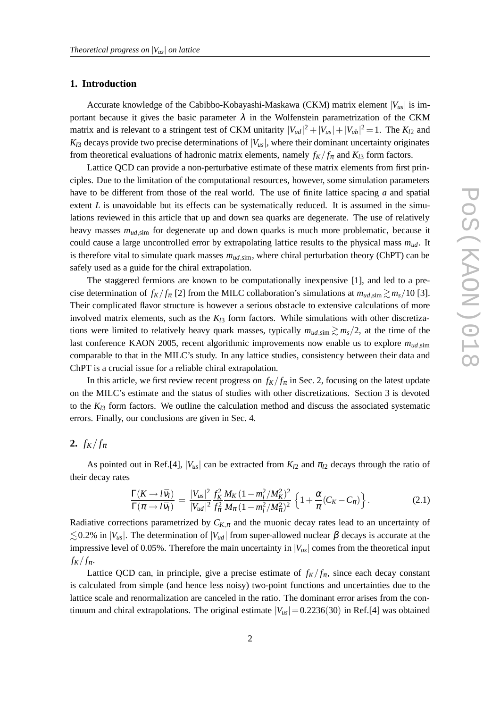#### **1. Introduction**

Accurate knowledge of the Cabibbo-Kobayashi-Maskawa (CKM) matrix element |*Vus*| is important because it gives the basic parameter  $\lambda$  in the Wolfenstein parametrization of the CKM matrix and is relevant to a stringent test of CKM unitarity  $|V_{ud}|^2 + |V_{us}| + |V_{ub}|^2 = 1$ . The  $K_{l2}$  and  $K_{13}$  decays provide two precise determinations of  $|V_{\mu s}|$ , where their dominant uncertainty originates from theoretical evaluations of hadronic matrix elements, namely  $f_K/f_\pi$  and  $K_{l3}$  form factors.

Lattice QCD can provide a non-perturbative estimate of these matrix elements from first principles. Due to the limitation of the computational resources, however, some simulation parameters have to be different from those of the real world. The use of finite lattice spacing *a* and spatial extent  $L$  is unavoidable but its effects can be systematically reduced. It is assumed in the simulations reviewed in this article that up and down sea quarks are degenerate. The use of relatively heavy masses  $m_{ud,sim}$  for degenerate up and down quarks is much more problematic, because it could cause a large uncontrolled error by extrapolating lattice results to the physical mass *mud*. It is therefore vital to simulate quark masses  $m_{ud,sim}$ , where chiral perturbation theory (ChPT) can be safely used as a guide for the chiral extrapolation.

The staggered fermions are known to be computationally inexpensive [1], and led to a precise determination of  $f_K/f_{\pi}$  [2] from the MILC collaboration's simulations at  $m_{ud,\text{sim}} \gtrsim m_s/10$  [3]. Their complicated flavor structure is however a serious obstacle to extensive calculations of more involved matrix elements, such as the  $K_{l3}$  form factors. While simulations with other discretizations were limited to relatively heavy quark masses, typically  $m_{ud,sim} \gtrsim m_s/2$ , at the time of the last conference KAON 2005, recent algorithmic improvements now enable us to explore  $m_{ud,sim}$ comparable to that in the MILC's study. In any lattice studies, consistency between their data and ChPT is a crucial issue for a reliable chiral extrapolation.

In this article, we first review recent progress on  $f_K/f_\pi$  in Sec. 2, focusing on the latest update on the MILC's estimate and the status of studies with other discretizations. Section 3 is devoted to the  $K_{l3}$  form factors. We outline the calculation method and discuss the associated systematic errors. Finally, our conclusions are given in Sec. 4.

#### **2.**  $f_K/f_{\pi}$

As pointed out in Ref.[4],  $|V_{us}|$  can be extracted from  $K_{12}$  and  $\pi_{12}$  decays through the ratio of their decay rates

$$
\frac{\Gamma(K \to l\bar{v}_l)}{\Gamma(\pi \to l\bar{v}_l)} = \frac{|V_{us}|^2}{|V_{ud}|^2} \frac{f_K^2}{f_\pi^2} \frac{M_K (1 - m_l^2/M_K^2)^2}{M_\pi (1 - m_l^2/M_\pi^2)^2} \left\{ 1 + \frac{\alpha}{\pi} (C_K - C_\pi) \right\}.
$$
\n(2.1)

Radiative corrections parametrized by  $C_{K,\pi}$  and the muonic decay rates lead to an uncertainty of  $\lesssim$  0.2% in  $|V_{us}|$ . The determination of  $|V_{ud}|$  from super-allowed nuclear  $\beta$  decays is accurate at the impressive level of 0.05%. Therefore the main uncertainty in  $|V_{\mu s}|$  comes from the theoretical input  $f_K/f_{\pi}.$ 

Lattice QCD can, in principle, give a precise estimate of  $f_K/f_\pi$ , since each decay constant is calculated from simple (and hence less noisy) two-point functions and uncertainties due to the lattice scale and renormalization are canceled in the ratio. The dominant error arises from the continuum and chiral extrapolations. The original estimate  $|V_{us}| = 0.2236(30)$  in Ref.[4] was obtained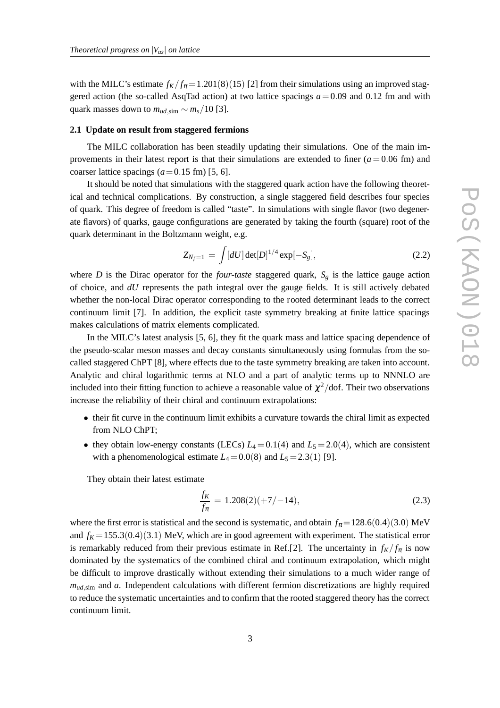with the MILC's estimate  $f_K/f_\pi = 1.201(8)(15)$  [2] from their simulations using an improved staggered action (the so-called AsqTad action) at two lattice spacings  $a = 0.09$  and 0.12 fm and with quark masses down to  $m_{ud,sim} \sim m_s/10$  [3].

#### **2.1 Update on result from staggered fermions**

The MILC collaboration has been steadily updating their simulations. One of the main improvements in their latest report is that their simulations are extended to finer  $(a=0.06 \text{ fm})$  and coarser lattice spacings  $(a=0.15 \text{ fm})$  [5, 6].

It should be noted that simulations with the staggered quark action have the following theoretical and technical complications. By construction, a single staggered field describes four species of quark. This degree of freedom is called "taste". In simulations with single flavor (two degenerate flavors) of quarks, gauge configurations are generated by taking the fourth (square) root of the quark determinant in the Boltzmann weight, e.g.

$$
Z_{N_f=1} = \int [dU] \det[D]^{1/4} \exp[-S_g], \qquad (2.2)
$$

where *D* is the Dirac operator for the *four-taste* staggered quark,  $S_g$  is the lattice gauge action of choice, and *dU* represents the path integral over the gauge fields. It is still actively debated whether the non-local Dirac operator corresponding to the rooted determinant leads to the correct continuum limit [7]. In addition, the explicit taste symmetry breaking at finite lattice spacings makes calculations of matrix elements complicated.

In the MILC's latest analysis [5, 6], they fit the quark mass and lattice spacing dependence of the pseudo-scalar meson masses and decay constants simultaneously using formulas from the socalled staggered ChPT [8], where effects due to the taste symmetry breaking are taken into account. Analytic and chiral logarithmic terms at NLO and a part of analytic terms up to NNNLO are included into their fitting function to achieve a reasonable value of  $\chi^2/\text{dof}$ . Their two observations increase the reliability of their chiral and continuum extrapolations:

- their fit curve in the continuum limit exhibits a curvature towards the chiral limit as expected from NLO ChPT;
- they obtain low-energy constants (LECs)  $L_4 = 0.1(4)$  and  $L_5 = 2.0(4)$ , which are consistent with a phenomenological estimate  $L_4=0.0(8)$  and  $L_5=2.3(1)$  [9].

They obtain their latest estimate

$$
\frac{f_K}{f_\pi} = 1.208(2)(+7/-14),\tag{2.3}
$$

where the first error is statistical and the second is systematic, and obtain  $f_{\pi} = 128.6(0.4)(3.0)$  MeV and  $f_K = 155.3(0.4)(3.1)$  MeV, which are in good agreement with experiment. The statistical error is remarkably reduced from their previous estimate in Ref.[2]. The uncertainty in  $f_K/f_\pi$  is now dominated by the systematics of the combined chiral and continuum extrapolation, which might be difficult to improve drastically without extending their simulations to a much wider range of  $m_{ud,sim}$  and  $a$ . Independent calculations with different fermion discretizations are highly required to reduce the systematic uncertainties and to confirm that the rooted staggered theory has the correct continuum limit.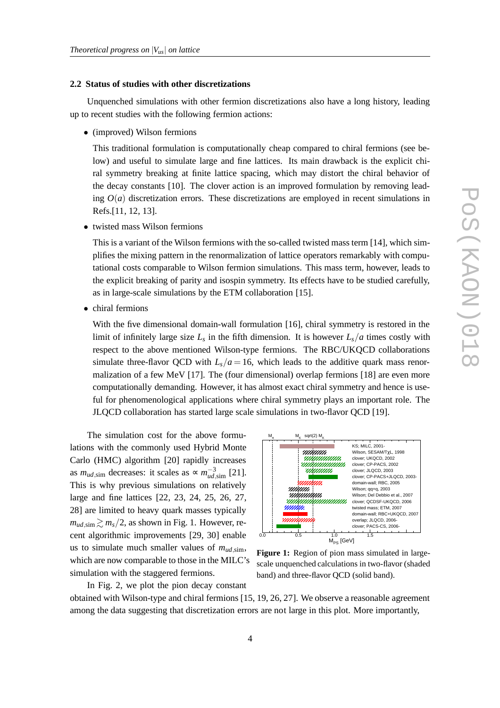#### **2.2 Status of studies with other discretizations**

Unquenched simulations with other fermion discretizations also have a long history, leading up to recent studies with the following fermion actions:

• (improved) Wilson fermions

This traditional formulation is computationally cheap compared to chiral fermions (see below) and useful to simulate large and fine lattices. Its main drawback is the explicit chiral symmetry breaking at finite lattice spacing, which may distort the chiral behavior of the decay constants [10]. The clover action is an improved formulation by removing leading  $O(a)$  discretization errors. These discretizations are employed in recent simulations in Refs.[11, 12, 13].

• twisted mass Wilson fermions

This is a variant of the Wilson fermions with the so-called twisted mass term [14], which simplifies the mixing pattern in the renormalization of lattice operators remarkably with computational costs comparable to Wilson fermion simulations. This mass term, however, leads to the explicit breaking of parity and isospin symmetry. Its effects have to be studied carefully, as in large-scale simulations by the ETM collaboration [15].

• chiral fermions

With the five dimensional domain-wall formulation [16], chiral symmetry is restored in the limit of infinitely large size  $L_s$  in the fifth dimension. It is however  $L_s/a$  times costly with respect to the above mentioned Wilson-type fermions. The RBC/UKQCD collaborations simulate three-flavor QCD with  $L_s/a = 16$ , which leads to the additive quark mass renormalization of a few MeV [17]. The (four dimensional) overlap fermions [18] are even more computationally demanding. However, it has almost exact chiral symmetry and hence is useful for phenomenological applications where chiral symmetry plays an important role. The JLQCD collaboration has started large scale simulations in two-flavor QCD [19].

The simulation cost for the above formulations with the commonly used Hybrid Monte Carlo (HMC) algorithm [20] rapidly increases as  $m_{ud,sim}$  decreases: it scales as  $\propto m_{ud,sim}^{-3}$  [21]. This is why previous simulations on relatively large and fine lattices [22, 23, 24, 25, 26, 27, 28] are limited to heavy quark masses typically  $m_{ud,sim} \geq m_s/2$ , as shown in Fig. 1. However, recent algorithmic improvements [29, 30] enable us to simulate much smaller values of  $m_{ud,sim}$ , which are now comparable to those in the MILC's simulation with the staggered fermions.

In Fig. 2, we plot the pion decay constant



**Figure 1:** Region of pion mass simulated in largescale unquenched calculations in two-flavor (shaded band) and three-flavor QCD (solid band).

obtained with Wilson-type and chiral fermions [15, 19, 26, 27]. We observe a reasonable agreement among the data suggesting that discretization errors are not large in this plot. More importantly,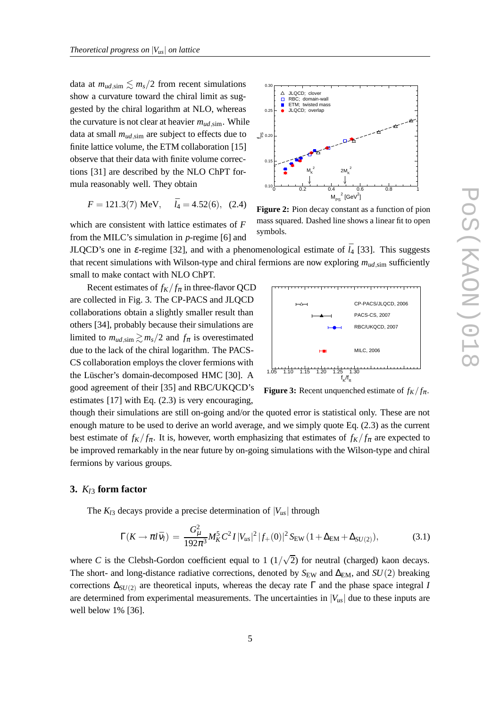data at  $m_{ud,sim} \lesssim m_s/2$  from recent simulations show a curvature toward the chiral limit as suggested by the chiral logarithm at NLO, whereas the curvature is not clear at heavier  $m_{ud,\text{sim}}$ . While data at small  $m_{ud,sim}$  are subject to effects due to finite lattice volume, the ETM collaboration [15] observe that their data with finite volume corrections [31] are described by the NLO ChPT formula reasonably well. They obtain

$$
F = 121.3(7)
$$
 MeV,  $\bar{l}_4 = 4.52(6)$ , (2.4)

which are consistent with lattice estimates of *F* from the MILC's simulation in *p*-regime [6] and

symbols. JLQCD's one in  $\varepsilon$ -regime [32], and with a phenomenological estimate of  $\bar{l}_4$  [33]. This suggests

small to make contact with NLO ChPT. Recent estimates of  $f_K/f_\pi$  in three-flavor QCD are collected in Fig. 3. The CP-PACS and JLQCD collaborations obtain a slightly smaller result than others [34], probably because their simulations are limited to  $m_{ud,sim} \gtrsim m_s/2$  and  $f_\pi$  is overestimated due to the lack of the chiral logarithm. The PACS-

1.05 1.10 1.15 1.20 1.25 1.30 CS collaboration employs the clover fermions with the Lüscher's domain-decomposed HMC [30]. A good agreement of their [35] and RBC/UKQCD's estimates [17] with Eq. (2.3) is very encouraging,

K /f π **Figure 3:** Recent unquenched estimate of  $f_K/f_\pi$ .

MILC, 2006

RBC/UKQCD, 2007 PACS-CS, 2007 CP-PACS/JLQCD, 2006

f

though their simulations are still on-going and/or the quoted error is statistical only. These are not enough mature to be used to derive an world average, and we simply quote Eq. (2.3) as the current best estimate of  $f_K/f_\pi$ . It is, however, worth emphasizing that estimates of  $f_K/f_\pi$  are expected to be improved remarkably in the near future by on-going simulations with the Wilson-type and chiral fermions by various groups.

that recent simulations with Wilson-type and chiral fermions are now exploring *mud*,sim sufficiently

#### **3.** *Kl*<sup>3</sup> **form factor**

The  $K_{13}$  decays provide a precise determination of  $|V_{\mu s}|$  through

$$
\Gamma(K \to \pi l \bar{\nu}_l) = \frac{G_{\mu}^2}{192\pi^3} M_K^5 C^2 I |V_{us}|^2 |f_+(0)|^2 S_{\text{EW}} (1 + \Delta_{\text{EM}} + \Delta_{SU(2)}), \tag{3.1}
$$

where *C* is the Clebsh-Gordon coefficient equal to  $1 \frac{1}{\sqrt{2}}$  for neutral (charged) kaon decays. The short- and long-distance radiative corrections, denoted by *S*<sub>EW</sub> and ∆<sub>EM</sub>, and *SU*(2) breaking corrections ∆*SU*(2) are theoretical inputs, whereas the decay rate Γ and the phase space integral *I* are determined from experimental measurements. The uncertainties in  $|V_{\mu s}|$  due to these inputs are well below 1% [36].



mass squared. Dashed line shows a linear fit to open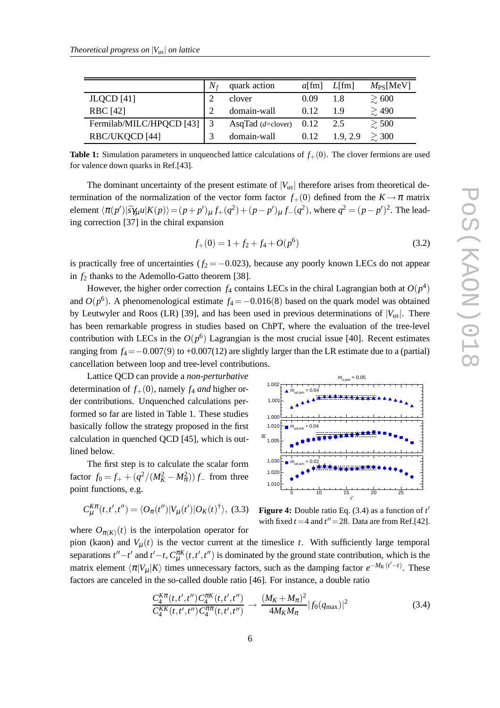|                          | N | quark action             | $a$ [fm] | $L[$ fm] | $M_{PS}$ [MeV] |
|--------------------------|---|--------------------------|----------|----------|----------------|
| $JLQCD$ [41]             |   | clover                   | 0.09     | 1.8      | $\gtrsim 600$  |
| <b>RBC</b> [42]          |   | domain-wall              | 0.12     |          | $\gtrsim 490$  |
| Fermilab/MILC/HPQCD [43] |   | AsqTad $(d=clover)$ 0.12 |          | 2.5      | $\gtrsim$ 500  |
| RBC/UKQCD [44]           |   | domain-wall              | 0.12     | 1.9.2.9  | $\geq 300$     |

**Table 1:** Simulation parameters in unquenched lattice calculations of  $f<sub>+</sub>(0)$ . The clover fermions are used for valence down quarks in Ref.[43].

The dominant uncertainty of the present estimate of  $|V_{\mu s}|$  therefore arises from theoretical determination of the normalization of the vector form factor  $f_{+}(0)$  defined from the  $K \to \pi$  matrix element  $\langle \pi(p')|\bar{s}\gamma_\mu u|K(p)\rangle = (p+p')_\mu f_+(q^2) + (p-p')_\mu f_-(q^2)$ , where  $q^2 = (p-p')^2$ . The leading correction [37] in the chiral expansion

$$
f_{+}(0) = 1 + f_{2} + f_{4} + O(p^{6})
$$
\n(3.2)

is practically free of uncertainties  $(f_2 = -0.023)$ , because any poorly known LECs do not appear in  $f_2$  thanks to the Ademollo-Gatto theorem [38].

However, the higher order correction  $f_4$  contains LECs in the chiral Lagrangian both at  $O(p^4)$ and  $O(p^6)$ . A phenomenological estimate  $f_4 = -0.016(8)$  based on the quark model was obtained by Leutwyler and Roos (LR) [39], and has been used in previous determinations of  $|V_{\mu s}|$ . There has been remarkable progress in studies based on ChPT, where the evaluation of the tree-level contribution with LECs in the  $O(p^6)$  Lagrangian is the most crucial issue [40]. Recent estimates ranging from  $f_4 = -0.007(9)$  to  $+0.007(12)$  are slightly larger than the LR estimate due to a (partial) cancellation between loop and tree-level contributions.

Lattice QCD can provide a *non-perturbative* determination of  $f_{+}(0)$ , namely  $f_4$  *and* higher order contributions. Unquenched calculations performed so far are listed in Table 1. These studies basically follow the strategy proposed in the first calculation in quenched QCD [45], which is outlined below.

The first step is to calculate the scalar form factor  $f_0 = f_+ + (q^2/(M_K^2 - M_\pi^2)) f_-$  from three point functions, e.g.

$$
C_{\mu}^{K\pi}(t,t',t'') = \langle O_{\pi}(t'')|V_{\mu}(t')|O_{K}(t)^{\dagger}\rangle, (3.3)
$$



**Figure 4:** Double ratio Eq. (3.4) as a function of *t* ′ with fixed  $t = 4$  and  $t'' = 28$ . Data are from Ref.[42].

where  $O_{\pi(K)}(t)$  is the interpolation operator for pion (kaon) and  $V_\mu(t)$  is the vector current at the timeslice *t*. With sufficiently large temporal separations  $t''-t'$  and  $t'-t$ ,  $C_{\mu}^{\pi K}(t,t',t'')$  is dominated by the ground state contribution, which is the matrix element  $\langle \pi | V_\mu | K \rangle$  times unnecessary factors, such as the damping factor  $e^{-M_K(t'-t)}$ . These factors are canceled in the so-called double ratio [46]. For instance, a double ratio

$$
\frac{C_4^{K\pi}(t,t',t'')C_4^{\pi K}(t,t',t'')}{C_4^{K\pi}(t,t',t'')C_4^{\pi\pi}(t,t',t'')} \to \frac{(M_K+M_\pi)^2}{4M_KM_\pi}|f_0(q_{\text{max}})|^2
$$
\n(3.4)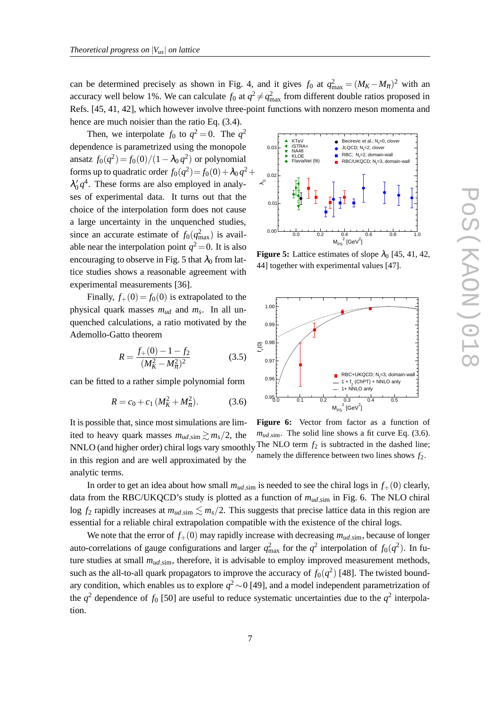can be determined precisely as shown in Fig. 4, and it gives  $f_0$  at  $q_{\text{max}}^2 = (M_K - M_\pi)^2$  with an accuracy well below 1%. We can calculate  $f_0$  at  $q^2 \neq q_{\text{max}}^2$  from different double ratios proposed in Refs. [45, 41, 42], which however involve three-point functions with nonzero meson momenta and hence are much noisier than the ratio Eq. (3.4).

Then, we interpolate  $f_0$  to  $q^2 = 0$ . The  $q^2$ dependence is parametrized using the monopole ansatz  $f_0(q^2) = f_0(0)/(1 - \lambda_0 q^2)$  or polynomial forms up to quadratic order  $f_0(q^2) = f_0(0) + \lambda_0 q^2 +$  $\lambda'_0 q^4$ . These forms are also employed in analyses of experimental data. It turns out that the choice of the interpolation form does not cause a large uncertainty in the unquenched studies, since an accurate estimate of  $f_0(q_{\text{max}}^2)$  is available near the interpolation point  $q^2$  = 0. It is also encouraging to observe in Fig. 5 that  $\lambda_0$  from lattice studies shows a reasonable agreement with experimental measurements [36].

Finally,  $f_+(0) = f_0(0)$  is extrapolated to the physical quark masses *mud* and *m<sup>s</sup>* . In all unquenched calculations, a ratio motivated by the Ademollo-Gatto theorem

$$
R = \frac{f_+(0) - 1 - f_2}{(M_K^2 - M_\pi^2)^2}
$$
 (3.5)

can be fitted to a rather simple polynomial form

$$
R = c_0 + c_1 \left( M_K^2 + M_\pi^2 \right). \tag{3.6}
$$

It is possible that, since most simulations are limited to heavy quark masses  $m_{ud,sim} \gtrsim m_s/2$ , the in this region and are well approximated by the analytic terms.



**Figure 5:** Lattice estimates of slope  $\lambda_0$  [45, 41, 42, 44] together with experimental values [47].



**Figure 6:** Vector from factor as a function of  $m_{ud,sim}$ . The solid line shows a fit curve Eq. (3.6). NNLO (and higher order) chiral logs vary smoothly <sup>The NLO</sup> term  $f_2$  is subtracted in the dashed line; namely the difference between two lines shows *f*2.

In order to get an idea about how small  $m_{ud,sim}$  is needed to see the chiral logs in  $f_+(0)$  clearly, data from the RBC/UKQCD's study is plotted as a function of  $m_{ud,sim}$  in Fig. 6. The NLO chiral log  $f_2$  rapidly increases at  $m_{ud,sim} \lesssim m_s/2$ . This suggests that precise lattice data in this region are essential for a reliable chiral extrapolation compatible with the existence of the chiral logs.

We note that the error of  $f_{+}(0)$  may rapidly increase with decreasing  $m_{ud,sim}$ , because of longer auto-correlations of gauge configurations and larger  $q_{\text{max}}^2$  for the  $q^2$  interpolation of  $f_0(q^2)$ . In future studies at small  $m_{ud,sim}$ , therefore, it is advisable to employ improved measurement methods, such as the all-to-all quark propagators to improve the accuracy of  $f_0(q^2)$  [48]. The twisted boundary condition, which enables us to explore *q* <sup>2</sup>∼0 [49], and a model independent parametrization of the  $q^2$  dependence of  $f_0$  [50] are useful to reduce systematic uncertainties due to the  $q^2$  interpolation.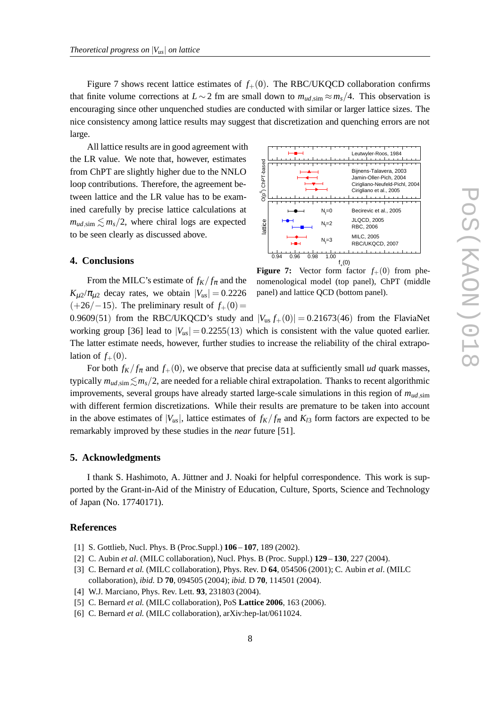Figure 7 shows recent lattice estimates of  $f_{+}(0)$ . The RBC/UKQCD collaboration confirms that finite volume corrections at  $L \sim 2$  fm are small down to  $m_{ud,sim} \approx m_s/4$ . This observation is encouraging since other unquenched studies are conducted with similar or larger lattice sizes. The nice consistency among lattice results may suggest that discretization and quenching errors are not large.

All lattice results are in good agreement with the LR value. We note that, however, estimates from ChPT are slightly higher due to the NNLO loop contributions. Therefore, the agreement between lattice and the LR value has to be examined carefully by precise lattice calculations at  $m_{ud,sim} \lesssim m_s/2$ , where chiral logs are expected to be seen clearly as discussed above.

#### ວ(pົງ ChPT-bas 0.94 0.96 0.98 1.00  $f(0)$ lattice Leutwyler-Roos, 1984 Bijnens-Talavera, 2003 Jamin-Oller-Pich, 2004 Cirigliano-Neufeld-Pichl, 2004 Cirigliano et al., 2005 Becirevic et al., 2005 JLQCD, 2005 RBC, 2006 MILC, 2005 RBC/UKQCD, 2007  $N_f = 0$  $N_f = 2$  $N_f = 3$

#### **4. Conclusions**

From the MILC's estimate of  $f_K/f_\pi$  and the  $K_{\mu2}/\pi_{\mu2}$  decay rates, we obtain  $|V_{\mu s}| = 0.2226$  $(+26/-15)$ . The preliminary result of  $f_+(0)$ =

**Figure 7:** Vector form factor  $f_{+}(0)$  from phenomenological model (top panel), ChPT (middle panel) and lattice QCD (bottom panel).

0.9609(51) from the RBC/UKQCD's study and  $|V_{us} f_+(0)| = 0.21673(46)$  from the FlaviaNet working group [36] lead to  $|V_{\mu s}| = 0.2255(13)$  which is consistent with the value quoted earlier. The latter estimate needs, however, further studies to increase the reliability of the chiral extrapolation of  $f_+(0)$ .

For both  $f_K/f_\pi$  and  $f_+(0)$ , we observe that precise data at sufficiently small *ud* quark masses, typically  $m_{ud,sim} \leq m_s/2$ , are needed for a reliable chiral extrapolation. Thanks to recent algorithmic improvements, several groups have already started large-scale simulations in this region of *mud*,sim with different fermion discretizations. While their results are premature to be taken into account in the above estimates of  $|V_{\mu s}|$ , lattice estimates of  $f_K/f_\pi$  and  $K_{l3}$  form factors are expected to be remarkably improved by these studies in the *near* future [51].

#### **5. Acknowledgments**

I thank S. Hashimoto, A. Jüttner and J. Noaki for helpful correspondence. This work is supported by the Grant-in-Aid of the Ministry of Education, Culture, Sports, Science and Technology of Japan (No. 17740171).

#### **References**

- [1] S. Gottlieb, Nucl. Phys. B (Proc.Suppl.) **106 107**, 189 (2002).
- [2] C. Aubin *et al*. (MILC collaboration), Nucl. Phys. B (Proc. Suppl.) **129 130**, 227 (2004).
- [3] C. Bernard *et al.* (MILC collaboration), Phys. Rev. D **64**, 054506 (2001); C. Aubin *et al*. (MILC collaboration), *ibid.* D **70**, 094505 (2004); *ibid.* D **70**, 114501 (2004).
- [4] W.J. Marciano, Phys. Rev. Lett. **93**, 231803 (2004).
- [5] C. Bernard *et al.* (MILC collaboration), PoS **Lattice 2006**, 163 (2006).
- [6] C. Bernard *et al.* (MILC collaboration), arXiv:hep-lat/0611024.